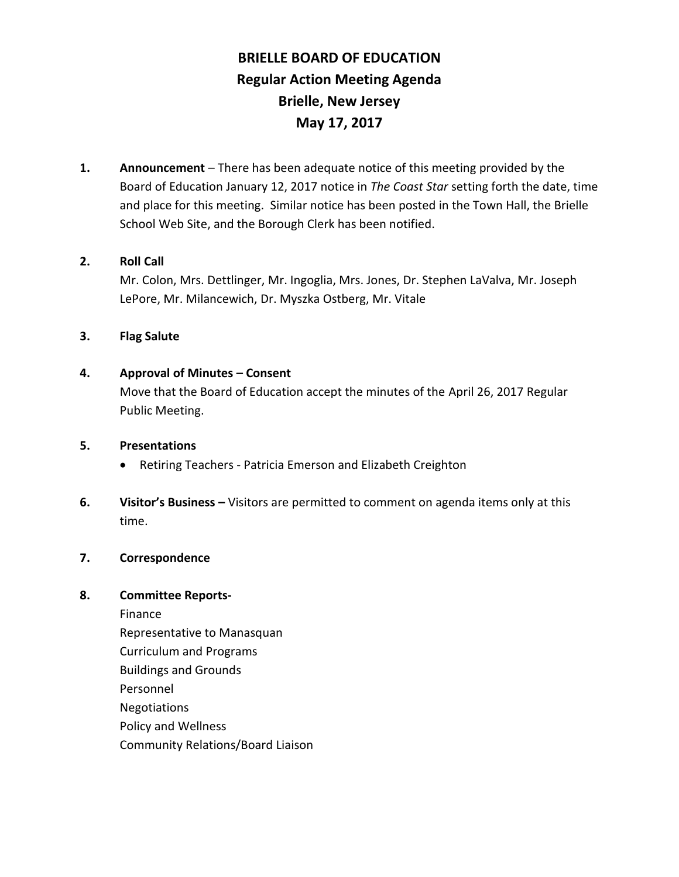# **BRIELLE BOARD OF EDUCATION Regular Action Meeting Agenda Brielle, New Jersey May 17, 2017**

**1. Announcement** – There has been adequate notice of this meeting provided by the Board of Education January 12, 2017 notice in *The Coast Star* setting forth the date, time and place for this meeting. Similar notice has been posted in the Town Hall, the Brielle School Web Site, and the Borough Clerk has been notified.

# **2. Roll Call**

Mr. Colon, Mrs. Dettlinger, Mr. Ingoglia, Mrs. Jones, Dr. Stephen LaValva, Mr. Joseph LePore, Mr. Milancewich, Dr. Myszka Ostberg, Mr. Vitale

# **3. Flag Salute**

# **4. Approval of Minutes – Consent**

Move that the Board of Education accept the minutes of the April 26, 2017 Regular Public Meeting.

## **5. Presentations**

- Retiring Teachers Patricia Emerson and Elizabeth Creighton
- **6. Visitor's Business –** Visitors are permitted to comment on agenda items only at this time.

# **7. Correspondence**

# **8. Committee Reports-**

Finance Representative to Manasquan Curriculum and Programs Buildings and Grounds Personnel Negotiations Policy and Wellness Community Relations/Board Liaison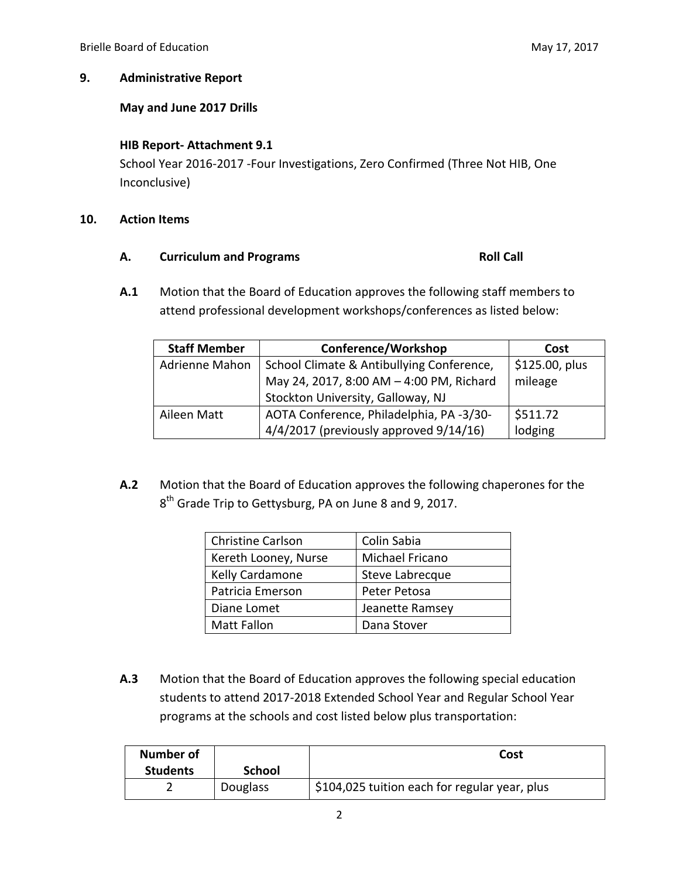# **9. Administrative Report**

# **May and June 2017 Drills**

## **HIB Report- Attachment 9.1**

School Year 2016-2017 -Four Investigations, Zero Confirmed (Three Not HIB, One Inconclusive)

### **10. Action Items**

### A. **Curriculum and Programs Roll Call**

**A.1** Motion that the Board of Education approves the following staff members to attend professional development workshops/conferences as listed below:

| <b>Staff Member</b> | Conference/Workshop                         | Cost           |
|---------------------|---------------------------------------------|----------------|
| Adrienne Mahon      | School Climate & Antibullying Conference,   | \$125.00, plus |
|                     | May 24, 2017, 8:00 AM - 4:00 PM, Richard    | mileage        |
|                     | Stockton University, Galloway, NJ           |                |
| Aileen Matt         | AOTA Conference, Philadelphia, PA -3/30-    | \$511.72       |
|                     | $4/4/2017$ (previously approved $9/14/16$ ) | lodging        |

**A.2** Motion that the Board of Education approves the following chaperones for the 8<sup>th</sup> Grade Trip to Gettysburg, PA on June 8 and 9, 2017.

| <b>Christine Carlson</b> | Colin Sabia     |
|--------------------------|-----------------|
| Kereth Looney, Nurse     | Michael Fricano |
| Kelly Cardamone          | Steve Labrecque |
| Patricia Emerson         | Peter Petosa    |
| Diane Lomet              | Jeanette Ramsey |
| <b>Matt Fallon</b>       | Dana Stover     |

**A.3** Motion that the Board of Education approves the following special education students to attend 2017-2018 Extended School Year and Regular School Year programs at the schools and cost listed below plus transportation:

| <b>Number of</b> |          | Cost                                          |
|------------------|----------|-----------------------------------------------|
| <b>Students</b>  | School   |                                               |
|                  | Douglass | \$104,025 tuition each for regular year, plus |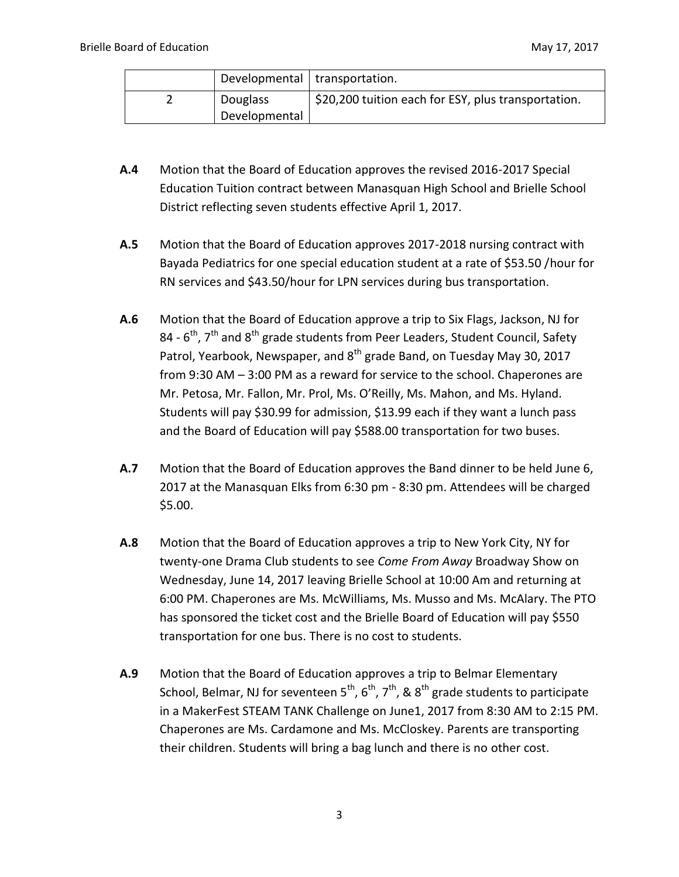|               | Developmental   transportation.                     |
|---------------|-----------------------------------------------------|
| Douglass      | \$20,200 tuition each for ESY, plus transportation. |
| Developmental |                                                     |

- **A.4** Motion that the Board of Education approves the revised 2016-2017 Special Education Tuition contract between Manasquan High School and Brielle School District reflecting seven students effective April 1, 2017.
- **A.5** Motion that the Board of Education approves 2017-2018 nursing contract with Bayada Pediatrics for one special education student at a rate of \$53.50 /hour for RN services and \$43.50/hour for LPN services during bus transportation.
- **A.6** Motion that the Board of Education approve a trip to Six Flags, Jackson, NJ for 84 -  $6^{\text{th}}$ , 7<sup>th</sup> and 8<sup>th</sup> grade students from Peer Leaders, Student Council, Safety Patrol, Yearbook, Newspaper, and 8<sup>th</sup> grade Band, on Tuesday May 30, 2017 from 9:30 AM – 3:00 PM as a reward for service to the school. Chaperones are Mr. Petosa, Mr. Fallon, Mr. Prol, Ms. O'Reilly, Ms. Mahon, and Ms. Hyland. Students will pay \$30.99 for admission, \$13.99 each if they want a lunch pass and the Board of Education will pay \$588.00 transportation for two buses.
- **A.7** Motion that the Board of Education approves the Band dinner to be held June 6, 2017 at the Manasquan Elks from 6:30 pm - 8:30 pm. Attendees will be charged \$5.00.
- **A.8** Motion that the Board of Education approves a trip to New York City, NY for twenty-one Drama Club students to see *Come From Away* Broadway Show on Wednesday, June 14, 2017 leaving Brielle School at 10:00 Am and returning at 6:00 PM. Chaperones are Ms. McWilliams, Ms. Musso and Ms. McAlary. The PTO has sponsored the ticket cost and the Brielle Board of Education will pay \$550 transportation for one bus. There is no cost to students.
- **A.9** Motion that the Board of Education approves a trip to Belmar Elementary School, Belmar, NJ for seventeen  $5^{th}$ ,  $6^{th}$ ,  $7^{th}$ , &  $8^{th}$  grade students to participate in a MakerFest STEAM TANK Challenge on June1, 2017 from 8:30 AM to 2:15 PM. Chaperones are Ms. Cardamone and Ms. McCloskey. Parents are transporting their children. Students will bring a bag lunch and there is no other cost.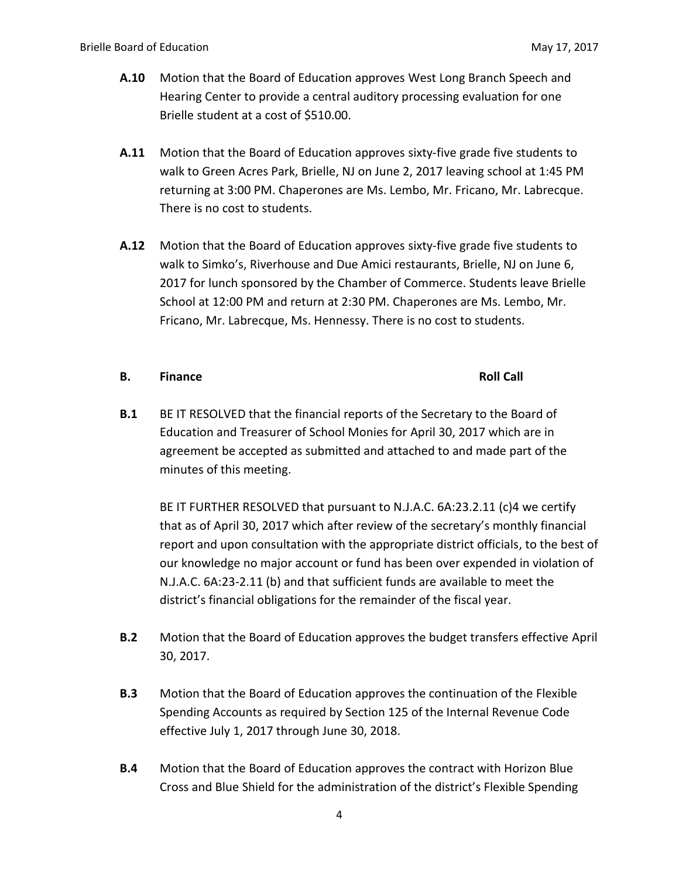- **A.10** Motion that the Board of Education approves West Long Branch Speech and Hearing Center to provide a central auditory processing evaluation for one Brielle student at a cost of \$510.00.
- **A.11** Motion that the Board of Education approves sixty-five grade five students to walk to Green Acres Park, Brielle, NJ on June 2, 2017 leaving school at 1:45 PM returning at 3:00 PM. Chaperones are Ms. Lembo, Mr. Fricano, Mr. Labrecque. There is no cost to students.
- **A.12** Motion that the Board of Education approves sixty-five grade five students to walk to Simko's, Riverhouse and Due Amici restaurants, Brielle, NJ on June 6, 2017 for lunch sponsored by the Chamber of Commerce. Students leave Brielle School at 12:00 PM and return at 2:30 PM. Chaperones are Ms. Lembo, Mr. Fricano, Mr. Labrecque, Ms. Hennessy. There is no cost to students.

# **B. Finance Roll Call**

**B.1** BE IT RESOLVED that the financial reports of the Secretary to the Board of Education and Treasurer of School Monies for April 30, 2017 which are in agreement be accepted as submitted and attached to and made part of the minutes of this meeting.

BE IT FURTHER RESOLVED that pursuant to N.J.A.C. 6A:23.2.11 (c)4 we certify that as of April 30, 2017 which after review of the secretary's monthly financial report and upon consultation with the appropriate district officials, to the best of our knowledge no major account or fund has been over expended in violation of N.J.A.C. 6A:23-2.11 (b) and that sufficient funds are available to meet the district's financial obligations for the remainder of the fiscal year.

- **B.2** Motion that the Board of Education approves the budget transfers effective April 30, 2017.
- **B.3** Motion that the Board of Education approves the continuation of the Flexible Spending Accounts as required by Section 125 of the Internal Revenue Code effective July 1, 2017 through June 30, 2018.
- **B.4** Motion that the Board of Education approves the contract with Horizon Blue Cross and Blue Shield for the administration of the district's Flexible Spending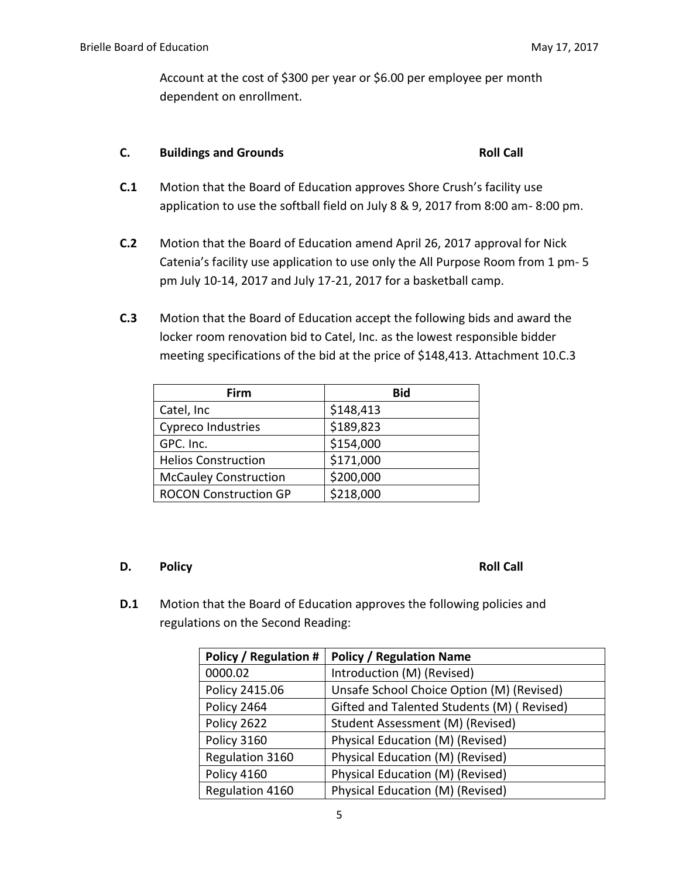Account at the cost of \$300 per year or \$6.00 per employee per month dependent on enrollment.

# **C.** Buildings and Grounds **Roll Call**

- **C.1** Motion that the Board of Education approves Shore Crush's facility use application to use the softball field on July 8 & 9, 2017 from 8:00 am- 8:00 pm.
- **C.2** Motion that the Board of Education amend April 26, 2017 approval for Nick Catenia's facility use application to use only the All Purpose Room from 1 pm- 5 pm July 10-14, 2017 and July 17-21, 2017 for a basketball camp.
- **C.3** Motion that the Board of Education accept the following bids and award the locker room renovation bid to Catel, Inc. as the lowest responsible bidder meeting specifications of the bid at the price of \$148,413. Attachment 10.C.3

| Firm                         | <b>Bid</b> |
|------------------------------|------------|
| Catel, Inc                   | \$148,413  |
| Cypreco Industries           | \$189,823  |
| GPC. Inc.                    | \$154,000  |
| <b>Helios Construction</b>   | \$171,000  |
| <b>McCauley Construction</b> | \$200,000  |
| <b>ROCON Construction GP</b> | \$218,000  |

# **D.** Policy **Roll Call**

**D.1** Motion that the Board of Education approves the following policies and regulations on the Second Reading:

| <b>Policy / Regulation #</b> | <b>Policy / Regulation Name</b>            |
|------------------------------|--------------------------------------------|
| 0000.02                      | Introduction (M) (Revised)                 |
| Policy 2415.06               | Unsafe School Choice Option (M) (Revised)  |
| Policy 2464                  | Gifted and Talented Students (M) (Revised) |
| Policy 2622                  | Student Assessment (M) (Revised)           |
| Policy 3160                  | Physical Education (M) (Revised)           |
| Regulation 3160              | Physical Education (M) (Revised)           |
| Policy 4160                  | Physical Education (M) (Revised)           |
| Regulation 4160              | Physical Education (M) (Revised)           |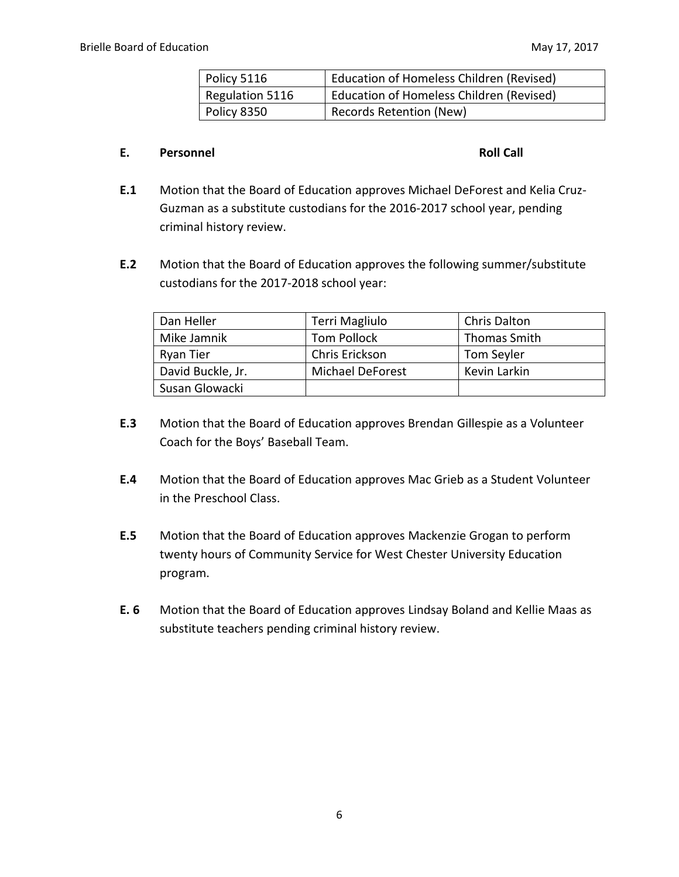| Policy 5116        | <b>Education of Homeless Children (Revised)</b> |
|--------------------|-------------------------------------------------|
| Regulation 5116    | <b>Education of Homeless Children (Revised)</b> |
| <b>Policy 8350</b> | <b>Records Retention (New)</b>                  |

### **E. Personnel Roll Call**

- **E.1** Motion that the Board of Education approves Michael DeForest and Kelia Cruz-Guzman as a substitute custodians for the 2016-2017 school year, pending criminal history review.
- **E.2** Motion that the Board of Education approves the following summer/substitute custodians for the 2017-2018 school year:

| Dan Heller        | Terri Magliulo     | <b>Chris Dalton</b> |
|-------------------|--------------------|---------------------|
| Mike Jamnik       | <b>Tom Pollock</b> | <b>Thomas Smith</b> |
| Ryan Tier         | Chris Erickson     | Tom Seyler          |
| David Buckle, Jr. | Michael DeForest   | Kevin Larkin        |
| Susan Glowacki    |                    |                     |

- **E.3** Motion that the Board of Education approves Brendan Gillespie as a Volunteer Coach for the Boys' Baseball Team.
- **E.4** Motion that the Board of Education approves Mac Grieb as a Student Volunteer in the Preschool Class.
- **E.5** Motion that the Board of Education approves Mackenzie Grogan to perform twenty hours of Community Service for West Chester University Education program.
- **E. 6** Motion that the Board of Education approves Lindsay Boland and Kellie Maas as substitute teachers pending criminal history review.